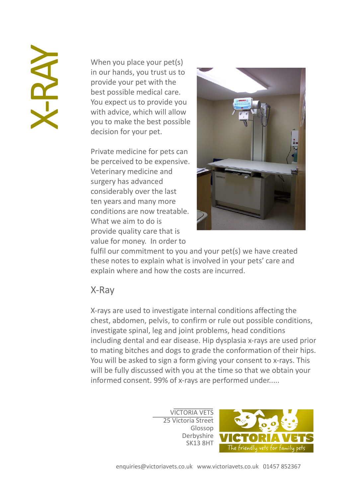When you place your pet(s) in our hands, you trust us to provide your pet with the best possible medical care. You expect us to provide you with advice, which will allow you to make the best possible decision for your pet.

Private medicine for pets can be perceived to be expensive. Veterinary medicine and surgery has advanced considerably over the last ten years and many more conditions are now treatable. What we aim to do is provide quality care that is value for money. In order to



fulfil our commitment to you and your pet(s) we have created these notes to explain what is involved in your pets' care and explain where and how the costs are incurred.

## X-Ray

X-rays are used to investigate internal conditions affecting the chest, abdomen, pelvis, to confirm or rule out possible conditions, investigate spinal, leg and joint problems, head conditions including dental and ear disease. Hip dysplasia x-rays are used prior to mating bitches and dogs to grade the conformation of their hips. You will be asked to sign a form giving your consent to x-rays. This will be fully discussed with you at the time so that we obtain your informed consent. 99% of x-rays are performed under.....

> VICTORIA VETS 25 Victoria Street Glossop Derbyshire SK13 8HT